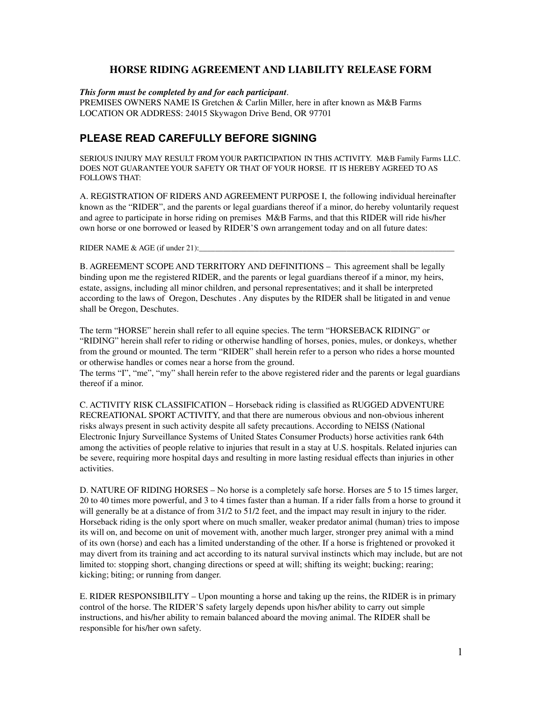## **HORSE RIDING AGREEMENT AND LIABILITY RELEASE FORM**

## *This form must be completed by and for each participant*.

PREMISES OWNERS NAME IS Gretchen & Carlin Miller, here in after known as M&B Farms LOCATION OR ADDRESS: 24015 Skywagon Drive Bend, OR 97701

## **PLEASE READ CAREFULLY BEFORE SIGNING**

SERIOUS INJURY MAY RESULT FROM YOUR PARTICIPATION IN THIS ACTIVITY. M&B Family Farms LLC. DOES NOT GUARANTEE YOUR SAFETY OR THAT OF YOUR HORSE. IT IS HEREBY AGREED TO AS FOLLOWS THAT:

A. REGISTRATION OF RIDERS AND AGREEMENT PURPOSE I, the following individual hereinafter known as the "RIDER", and the parents or legal guardians thereof if a minor, do hereby voluntarily request and agree to participate in horse riding on premises M&B Farms, and that this RIDER will ride his/her own horse or one borrowed or leased by RIDER'S own arrangement today and on all future dates:

RIDER NAME & AGE (if under 21):

B. AGREEMENT SCOPE AND TERRITORY AND DEFINITIONS – This agreement shall be legally binding upon me the registered RIDER, and the parents or legal guardians thereof if a minor, my heirs, estate, assigns, including all minor children, and personal representatives; and it shall be interpreted according to the laws of Oregon, Deschutes . Any disputes by the RIDER shall be litigated in and venue shall be Oregon, Deschutes.

The term "HORSE" herein shall refer to all equine species. The term "HORSEBACK RIDING" or "RIDING" herein shall refer to riding or otherwise handling of horses, ponies, mules, or donkeys, whether from the ground or mounted. The term "RIDER" shall herein refer to a person who rides a horse mounted or otherwise handles or comes near a horse from the ground.

The terms "I", "me", "my" shall herein refer to the above registered rider and the parents or legal guardians thereof if a minor.

C. ACTIVITY RISK CLASSIFICATION – Horseback riding is classified as RUGGED ADVENTURE RECREATIONAL SPORT ACTIVITY, and that there are numerous obvious and non-obvious inherent risks always present in such activity despite all safety precautions. According to NEISS (National Electronic Injury Surveillance Systems of United States Consumer Products) horse activities rank 64th among the activities of people relative to injuries that result in a stay at U.S. hospitals. Related injuries can be severe, requiring more hospital days and resulting in more lasting residual effects than injuries in other activities.

D. NATURE OF RIDING HORSES – No horse is a completely safe horse. Horses are 5 to 15 times larger, 20 to 40 times more powerful, and 3 to 4 times faster than a human. If a rider falls from a horse to ground it will generally be at a distance of from 31/2 to 51/2 feet, and the impact may result in injury to the rider. Horseback riding is the only sport where on much smaller, weaker predator animal (human) tries to impose its will on, and become on unit of movement with, another much larger, stronger prey animal with a mind of its own (horse) and each has a limited understanding of the other. If a horse is frightened or provoked it may divert from its training and act according to its natural survival instincts which may include, but are not limited to: stopping short, changing directions or speed at will; shifting its weight; bucking; rearing; kicking; biting; or running from danger.

E. RIDER RESPONSIBILITY – Upon mounting a horse and taking up the reins, the RIDER is in primary control of the horse. The RIDER'S safety largely depends upon his/her ability to carry out simple instructions, and his/her ability to remain balanced aboard the moving animal. The RIDER shall be responsible for his/her own safety.